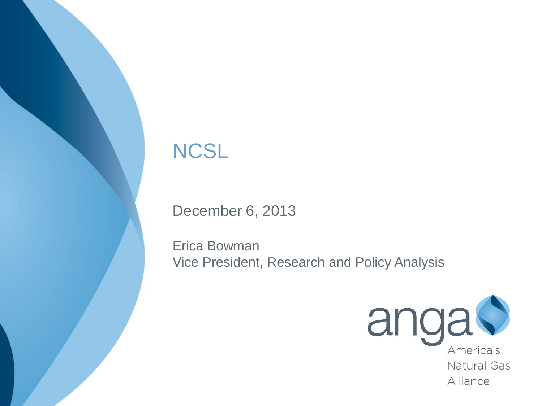#### **NCSL**

December 6, 2013

Erica Bowman Vice President, Research and Policy Analysis



Alliance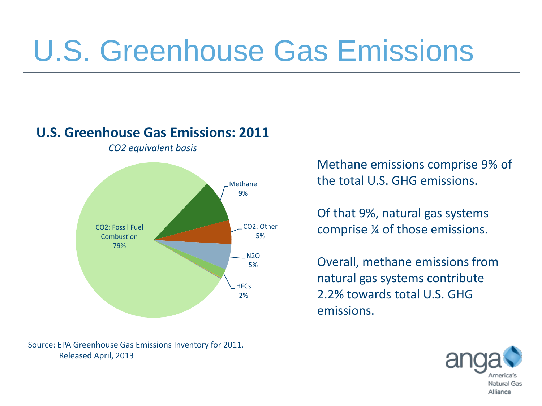## U.S. Greenhouse Gas Emissions

#### **U.S. Greenhouse Gas Emissions: 2011**

*CO2 equivalent basis*



Source: EPA Greenhouse Gas Emissions Inventory for 2011. Released April, 2013

Methane emissions comprise 9% of the total U.S. GHG emissions.

Of that 9%, natural gas systems comprise ¼ of those emissions.

Overall, methane emissions from natural gas systems contribute 2.2% towards total U.S. GHG emissions.

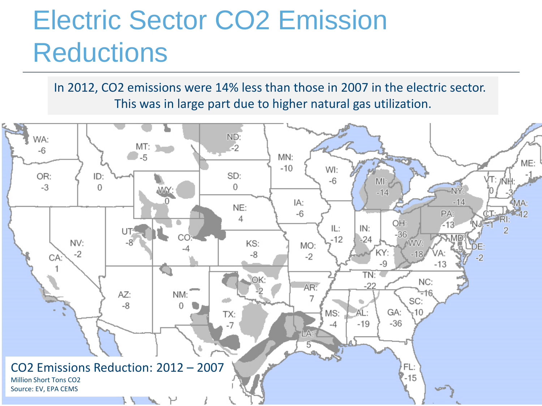## Electric Sector CO2 Emission **Reductions**

In 2012, CO2 emissions were 14% less than those in 2007 in the electric sector. This was in large part due to higher natural gas utilization.

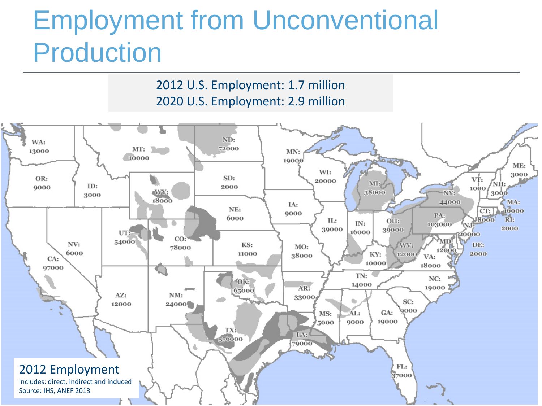### Employment from Unconventional Production

2012 U.S. Employment: 1.7 million 2020 U.S. Employment: 2.9 million

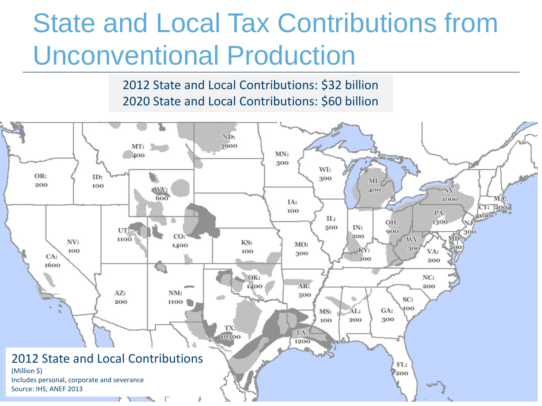## State and Local Tax Contributions from Unconventional Production

2012 State and Local Contributions: \$32 billion 2020 State and Local Contributions: \$60 billion

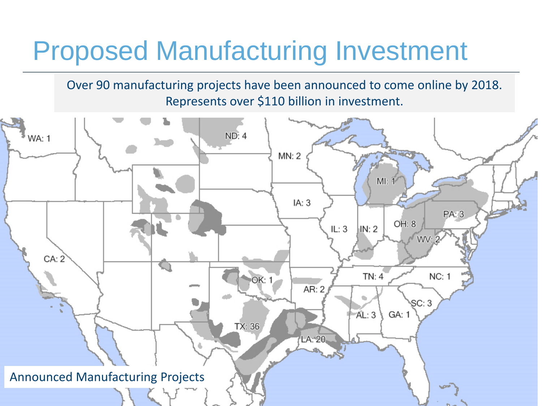### Proposed Manufacturing Investment

Over 90 manufacturing projects have been announced to come online by 2018. Represents over \$110 billion in investment.

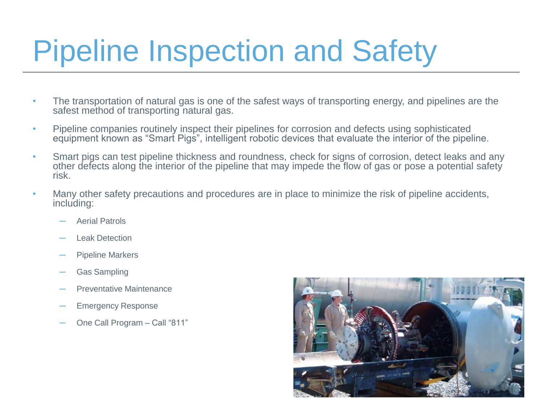## Pipeline Inspection and Safety

- The transportation of natural gas is one of the safest ways of transporting energy, and pipelines are the safest method of transporting natural gas.
- Pipeline companies routinely inspect their pipelines for corrosion and defects using sophisticated equipment known as "Smart Pigs", intelligent robotic devices that evaluate the interior of the pipeline.
- Smart pigs can test pipeline thickness and roundness, check for signs of corrosion, detect leaks and any other defects along the interior of the pipeline that may impede the flow of gas or pose a potential safety risk.
- Many other safety precautions and procedures are in place to minimize the risk of pipeline accidents, including:
	- Aerial Patrols
	- ─ Leak Detection
	- Pipeline Markers
	- Gas Sampling
	- Preventative Maintenance
	- Emergency Response
	- One Call Program Call "811"

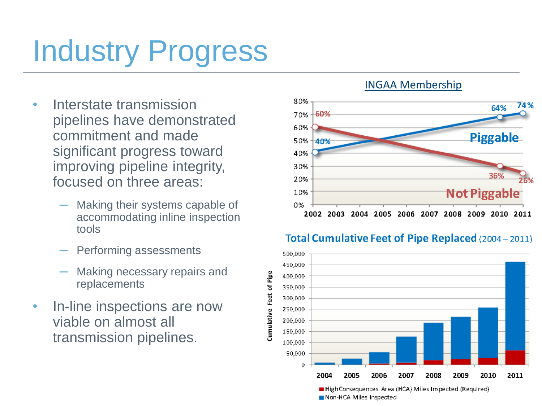# Industry Progress

- Interstate transmission pipelines have demonstrated commitment and made significant progress toward improving pipeline integrity, focused on three areas:
	- Making their systems capable of accommodating inline inspection tools
	- Performing assessments
	- Making necessary repairs and replacements
- In-line inspections are now viable on almost all transmission pipelines.

#### INGAA Membership





#### Total Cumulative Feet of Pipe Replaced (2004-2011)

High Consequences Area (HCA) Miles Inspected (Required) Non-HCA Miles Inspected